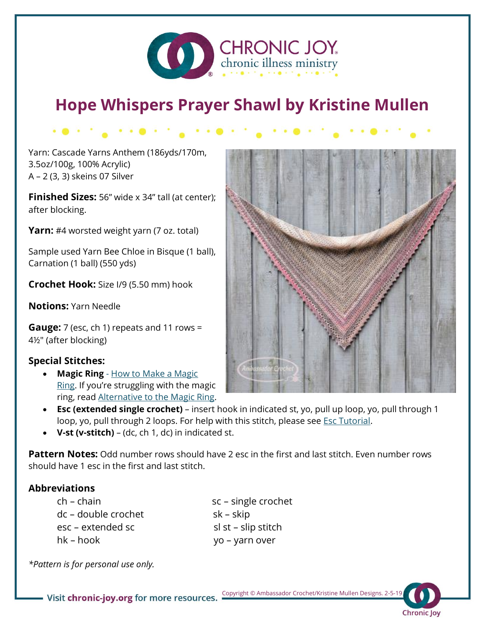

# **Hope Whispers Prayer Shawl by Kristine Mullen**

Yarn: Cascade Yarns Anthem (186yds/170m, 3.5oz/100g, 100% Acrylic) A – 2 (3, 3) skeins 07 Silver

**Finished Sizes:** 56" wide x 34" tall (at center); after blocking.

**Yarn:** #4 worsted weight yarn (7 oz. total)

Sample used Yarn Bee Chloe in Bisque (1 ball), Carnation (1 ball) (550 yds)

**Crochet Hook:** Size I/9 (5.50 mm) hook

**Notions:** Yarn Needle

**Gauge:** 7 (esc, ch 1) repeats and 11 rows = 4½" (after blocking)

## **Special Stitches:**

• **Magic Ring** - [How to Make a Magic](http://ambassadorcrochet.com/2012/02/14/how-to-make-a-crochet-magic-ring/)  [Ring](http://ambassadorcrochet.com/2012/02/14/how-to-make-a-crochet-magic-ring/). If you're struggling with the magic ring, read [Alternative to the Magic Ring.](http://ambassadorcrochet.com/2012/02/16/alternative-to-the-magic-ring/)



- **Esc (extended single crochet)**  insert hook in indicated st, yo, pull up loop, yo, pull through 1 loop, yo, pull through 2 loops. For help with this stitch, please see **Esc Tutorial**.
- **V-st (v-stitch)**  (dc, ch 1, dc) in indicated st.

**Pattern Notes:** Odd number rows should have 2 esc in the first and last stitch. Even number rows should have 1 esc in the first and last stitch.

### **Abbreviations**

dc – double crochet sk – skip esc – extended sc sl st – slip stitch hk – hook yo – yarn over

ch – chain sc – single crochet

*\*Pattern is for personal use only.* 

 Copyright © Ambassador Crochet/Kristine Mullen Designs. 2-5-19 - Visit chronic-joy.org for more resources.